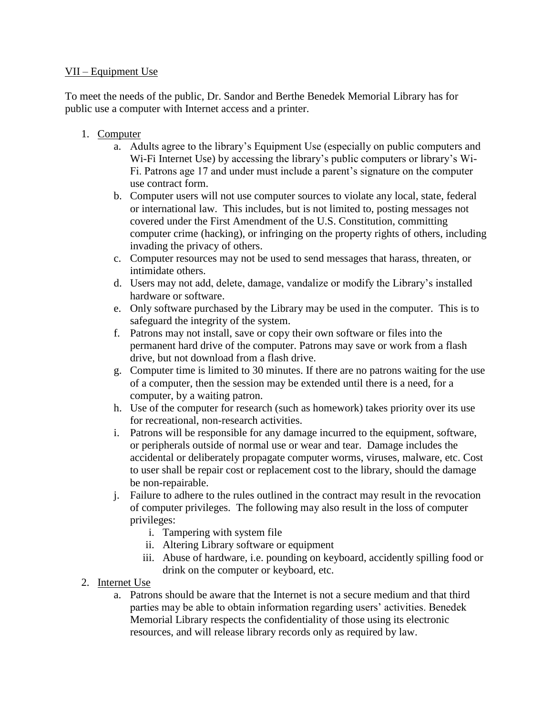## VII – Equipment Use

To meet the needs of the public, Dr. Sandor and Berthe Benedek Memorial Library has for public use a computer with Internet access and a printer.

- 1. Computer
	- a. Adults agree to the library's Equipment Use (especially on public computers and Wi-Fi Internet Use) by accessing the library's public computers or library's Wi-Fi. Patrons age 17 and under must include a parent's signature on the computer use contract form.
	- b. Computer users will not use computer sources to violate any local, state, federal or international law. This includes, but is not limited to, posting messages not covered under the First Amendment of the U.S. Constitution, committing computer crime (hacking), or infringing on the property rights of others, including invading the privacy of others.
	- c. Computer resources may not be used to send messages that harass, threaten, or intimidate others.
	- d. Users may not add, delete, damage, vandalize or modify the Library's installed hardware or software.
	- e. Only software purchased by the Library may be used in the computer. This is to safeguard the integrity of the system.
	- f. Patrons may not install, save or copy their own software or files into the permanent hard drive of the computer. Patrons may save or work from a flash drive, but not download from a flash drive.
	- g. Computer time is limited to 30 minutes. If there are no patrons waiting for the use of a computer, then the session may be extended until there is a need, for a computer, by a waiting patron.
	- h. Use of the computer for research (such as homework) takes priority over its use for recreational, non-research activities.
	- i. Patrons will be responsible for any damage incurred to the equipment, software, or peripherals outside of normal use or wear and tear. Damage includes the accidental or deliberately propagate computer worms, viruses, malware, etc. Cost to user shall be repair cost or replacement cost to the library, should the damage be non-repairable.
	- j. Failure to adhere to the rules outlined in the contract may result in the revocation of computer privileges. The following may also result in the loss of computer privileges:
		- i. Tampering with system file
		- ii. Altering Library software or equipment
		- iii. Abuse of hardware, i.e. pounding on keyboard, accidently spilling food or drink on the computer or keyboard, etc.
- 2. Internet Use
	- a. Patrons should be aware that the Internet is not a secure medium and that third parties may be able to obtain information regarding users' activities. Benedek Memorial Library respects the confidentiality of those using its electronic resources, and will release library records only as required by law.